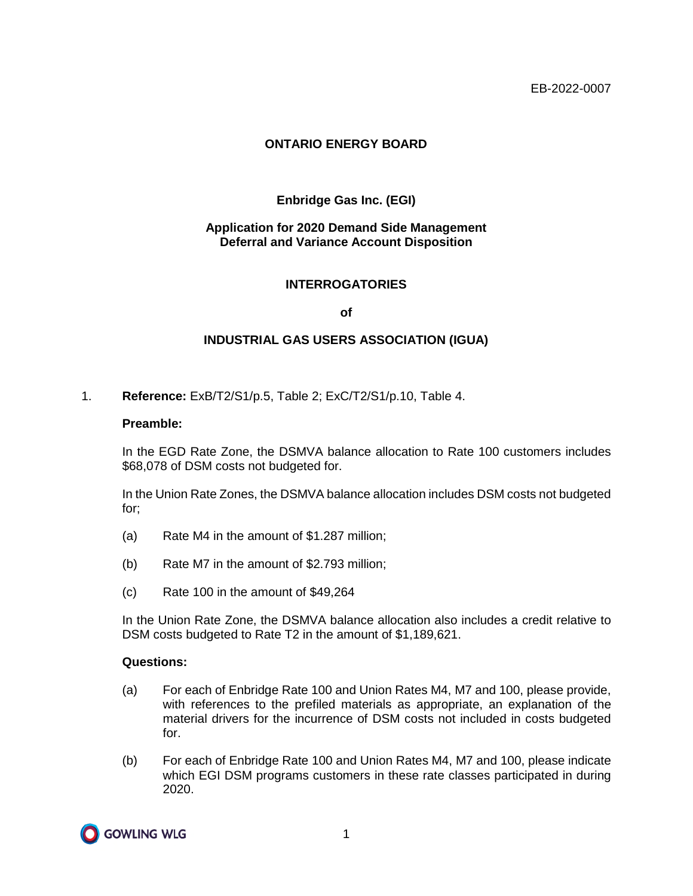# **ONTARIO ENERGY BOARD**

# **Enbridge Gas Inc. (EGI)**

## **Application for 2020 Demand Side Management Deferral and Variance Account Disposition**

### **INTERROGATORIES**

#### **of**

### **INDUSTRIAL GAS USERS ASSOCIATION (IGUA)**

1. **Reference:** ExB/T2/S1/p.5, Table 2; ExC/T2/S1/p.10, Table 4.

#### **Preamble:**

In the EGD Rate Zone, the DSMVA balance allocation to Rate 100 customers includes \$68,078 of DSM costs not budgeted for.

In the Union Rate Zones, the DSMVA balance allocation includes DSM costs not budgeted for;

- (a) Rate M4 in the amount of \$1.287 million;
- (b) Rate M7 in the amount of \$2.793 million;
- (c) Rate 100 in the amount of \$49,264

In the Union Rate Zone, the DSMVA balance allocation also includes a credit relative to DSM costs budgeted to Rate T2 in the amount of \$1,189,621.

#### **Questions:**

- (a) For each of Enbridge Rate 100 and Union Rates M4, M7 and 100, please provide, with references to the prefiled materials as appropriate, an explanation of the material drivers for the incurrence of DSM costs not included in costs budgeted for.
- (b) For each of Enbridge Rate 100 and Union Rates M4, M7 and 100, please indicate which EGI DSM programs customers in these rate classes participated in during 2020.